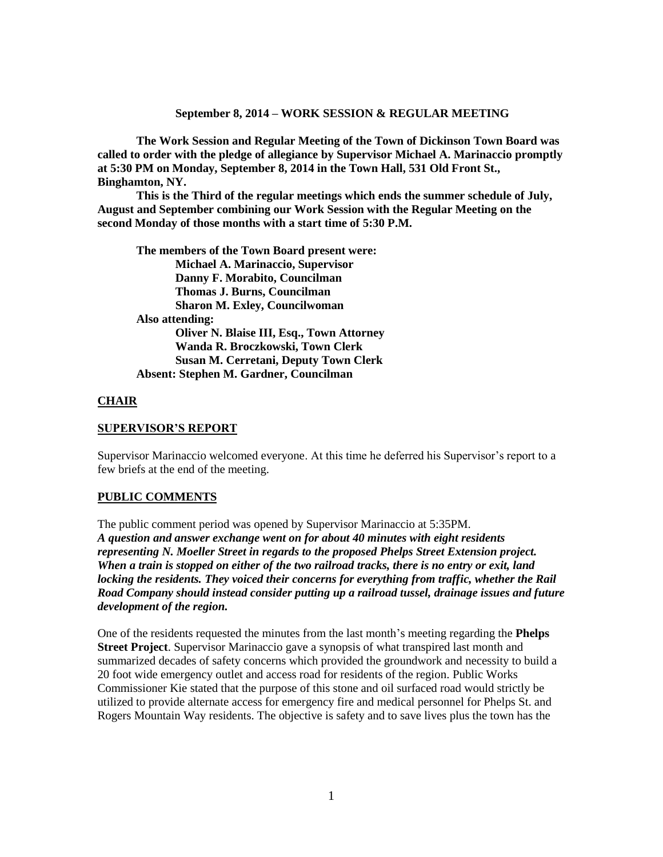#### **September 8, 2014 – WORK SESSION & REGULAR MEETING**

**The Work Session and Regular Meeting of the Town of Dickinson Town Board was called to order with the pledge of allegiance by Supervisor Michael A. Marinaccio promptly at 5:30 PM on Monday, September 8, 2014 in the Town Hall, 531 Old Front St., Binghamton, NY.** 

**This is the Third of the regular meetings which ends the summer schedule of July, August and September combining our Work Session with the Regular Meeting on the second Monday of those months with a start time of 5:30 P.M.**

**The members of the Town Board present were: Michael A. Marinaccio, Supervisor Danny F. Morabito, Councilman Thomas J. Burns, Councilman Sharon M. Exley, Councilwoman Also attending: Oliver N. Blaise III, Esq., Town Attorney Wanda R. Broczkowski, Town Clerk Susan M. Cerretani, Deputy Town Clerk Absent: Stephen M. Gardner, Councilman**

# **CHAIR**

## **SUPERVISOR'S REPORT**

Supervisor Marinaccio welcomed everyone. At this time he deferred his Supervisor's report to a few briefs at the end of the meeting.

## **PUBLIC COMMENTS**

The public comment period was opened by Supervisor Marinaccio at 5:35PM*. A question and answer exchange went on for about 40 minutes with eight residents representing N. Moeller Street in regards to the proposed Phelps Street Extension project. When a train is stopped on either of the two railroad tracks, there is no entry or exit, land locking the residents. They voiced their concerns for everything from traffic, whether the Rail Road Company should instead consider putting up a railroad tussel, drainage issues and future development of the region.* 

One of the residents requested the minutes from the last month's meeting regarding the **Phelps Street Project**. Supervisor Marinaccio gave a synopsis of what transpired last month and summarized decades of safety concerns which provided the groundwork and necessity to build a 20 foot wide emergency outlet and access road for residents of the region. Public Works Commissioner Kie stated that the purpose of this stone and oil surfaced road would strictly be utilized to provide alternate access for emergency fire and medical personnel for Phelps St. and Rogers Mountain Way residents. The objective is safety and to save lives plus the town has the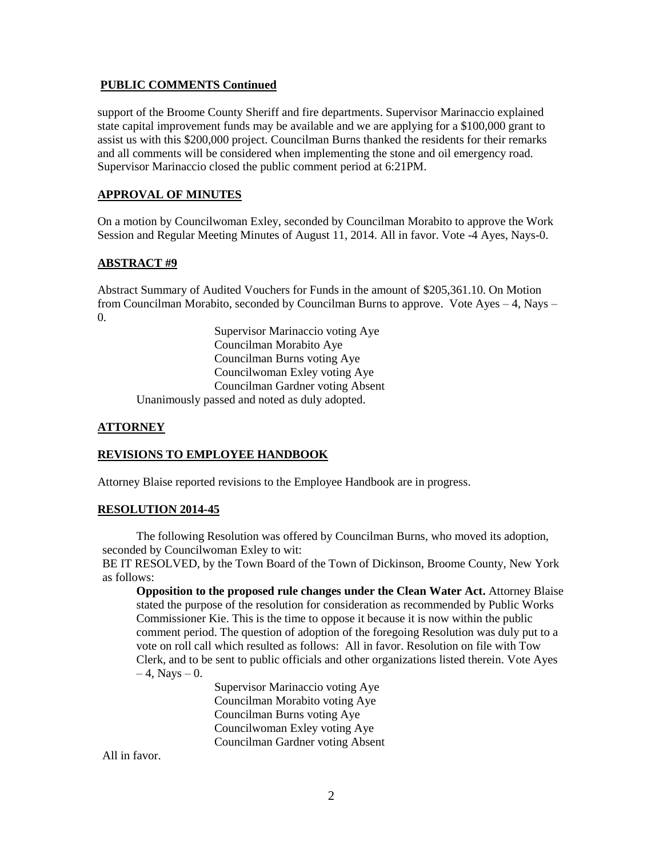#### **PUBLIC COMMENTS Continued**

support of the Broome County Sheriff and fire departments. Supervisor Marinaccio explained state capital improvement funds may be available and we are applying for a \$100,000 grant to assist us with this \$200,000 project. Councilman Burns thanked the residents for their remarks and all comments will be considered when implementing the stone and oil emergency road. Supervisor Marinaccio closed the public comment period at 6:21PM.

### **APPROVAL OF MINUTES**

On a motion by Councilwoman Exley, seconded by Councilman Morabito to approve the Work Session and Regular Meeting Minutes of August 11, 2014. All in favor. Vote -4 Ayes, Nays-0.

## **ABSTRACT #9**

Abstract Summary of Audited Vouchers for Funds in the amount of \$205,361.10. On Motion from Councilman Morabito, seconded by Councilman Burns to approve. Vote Ayes – 4, Nays – 0.

Supervisor Marinaccio voting Aye Councilman Morabito Aye Councilman Burns voting Aye Councilwoman Exley voting Aye Councilman Gardner voting Absent Unanimously passed and noted as duly adopted.

#### **ATTORNEY**

#### **REVISIONS TO EMPLOYEE HANDBOOK**

Attorney Blaise reported revisions to the Employee Handbook are in progress.

#### **RESOLUTION 2014-45**

The following Resolution was offered by Councilman Burns, who moved its adoption, seconded by Councilwoman Exley to wit:

BE IT RESOLVED, by the Town Board of the Town of Dickinson, Broome County, New York as follows:

**Opposition to the proposed rule changes under the Clean Water Act.** Attorney Blaise stated the purpose of the resolution for consideration as recommended by Public Works Commissioner Kie. This is the time to oppose it because it is now within the public comment period. The question of adoption of the foregoing Resolution was duly put to a vote on roll call which resulted as follows: All in favor. Resolution on file with Tow Clerk, and to be sent to public officials and other organizations listed therein. Vote Ayes  $-4$ , Nays  $-0$ .

> Supervisor Marinaccio voting Aye Councilman Morabito voting Aye Councilman Burns voting Aye Councilwoman Exley voting Aye Councilman Gardner voting Absent

All in favor.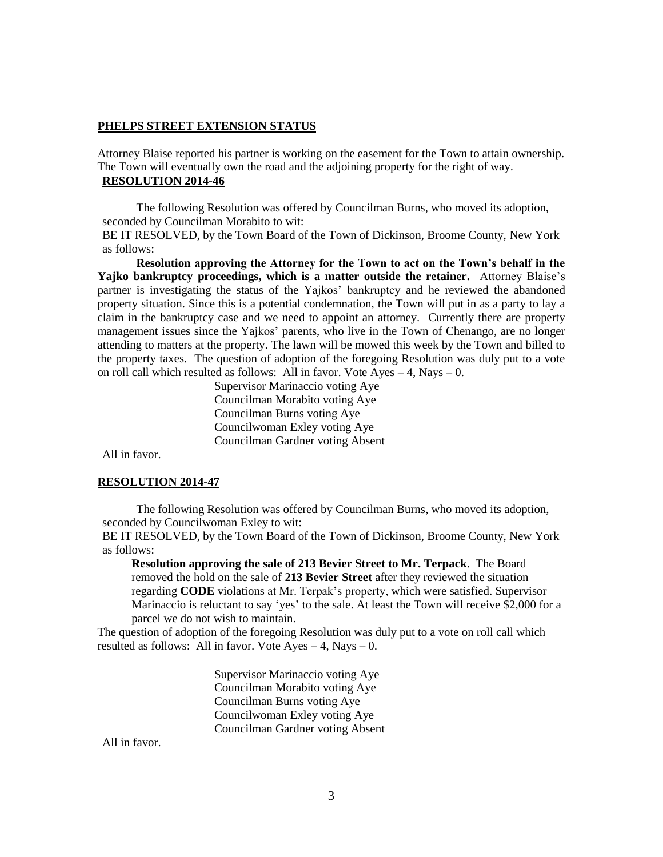#### **PHELPS STREET EXTENSION STATUS**

Attorney Blaise reported his partner is working on the easement for the Town to attain ownership. The Town will eventually own the road and the adjoining property for the right of way. **RESOLUTION 2014-46**

The following Resolution was offered by Councilman Burns, who moved its adoption, seconded by Councilman Morabito to wit:

BE IT RESOLVED, by the Town Board of the Town of Dickinson, Broome County, New York as follows:

**Resolution approving the Attorney for the Town to act on the Town's behalf in the Yajko bankruptcy proceedings, which is a matter outside the retainer.** Attorney Blaise's partner is investigating the status of the Yajkos' bankruptcy and he reviewed the abandoned property situation. Since this is a potential condemnation, the Town will put in as a party to lay a claim in the bankruptcy case and we need to appoint an attorney. Currently there are property management issues since the Yajkos' parents, who live in the Town of Chenango, are no longer attending to matters at the property. The lawn will be mowed this week by the Town and billed to the property taxes. The question of adoption of the foregoing Resolution was duly put to a vote on roll call which resulted as follows: All in favor. Vote  $Ayes - 4$ , Nays – 0.

> Supervisor Marinaccio voting Aye Councilman Morabito voting Aye Councilman Burns voting Aye Councilwoman Exley voting Aye Councilman Gardner voting Absent

All in favor.

#### **RESOLUTION 2014-47**

The following Resolution was offered by Councilman Burns, who moved its adoption, seconded by Councilwoman Exley to wit:

BE IT RESOLVED, by the Town Board of the Town of Dickinson, Broome County, New York as follows:

**Resolution approving the sale of 213 Bevier Street to Mr. Terpack**. The Board removed the hold on the sale of **213 Bevier Street** after they reviewed the situation regarding **CODE** violations at Mr. Terpak's property, which were satisfied. Supervisor Marinaccio is reluctant to say 'yes' to the sale. At least the Town will receive \$2,000 for a parcel we do not wish to maintain.

The question of adoption of the foregoing Resolution was duly put to a vote on roll call which resulted as follows: All in favor. Vote Ayes – 4, Nays – 0.

> Supervisor Marinaccio voting Aye Councilman Morabito voting Aye Councilman Burns voting Aye Councilwoman Exley voting Aye Councilman Gardner voting Absent

All in favor.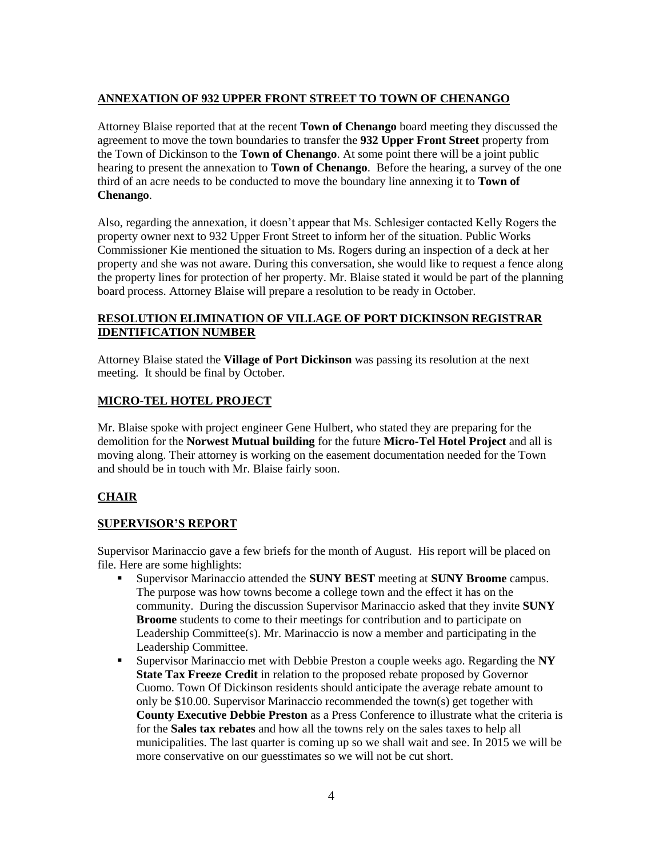# **ANNEXATION OF 932 UPPER FRONT STREET TO TOWN OF CHENANGO**

Attorney Blaise reported that at the recent **Town of Chenango** board meeting they discussed the agreement to move the town boundaries to transfer the **932 Upper Front Street** property from the Town of Dickinson to the **Town of Chenango**. At some point there will be a joint public hearing to present the annexation to **Town of Chenango**. Before the hearing, a survey of the one third of an acre needs to be conducted to move the boundary line annexing it to **Town of Chenango**.

Also, regarding the annexation, it doesn't appear that Ms. Schlesiger contacted Kelly Rogers the property owner next to 932 Upper Front Street to inform her of the situation. Public Works Commissioner Kie mentioned the situation to Ms. Rogers during an inspection of a deck at her property and she was not aware. During this conversation, she would like to request a fence along the property lines for protection of her property. Mr. Blaise stated it would be part of the planning board process. Attorney Blaise will prepare a resolution to be ready in October.

## **RESOLUTION ELIMINATION OF VILLAGE OF PORT DICKINSON REGISTRAR IDENTIFICATION NUMBER**

Attorney Blaise stated the **Village of Port Dickinson** was passing its resolution at the next meeting. It should be final by October.

# **MICRO-TEL HOTEL PROJECT**

Mr. Blaise spoke with project engineer Gene Hulbert, who stated they are preparing for the demolition for the **Norwest Mutual building** for the future **Micro-Tel Hotel Project** and all is moving along. Their attorney is working on the easement documentation needed for the Town and should be in touch with Mr. Blaise fairly soon.

# **CHAIR**

# **SUPERVISOR'S REPORT**

Supervisor Marinaccio gave a few briefs for the month of August. His report will be placed on file. Here are some highlights:

- Supervisor Marinaccio attended the **SUNY BEST** meeting at **SUNY Broome** campus. The purpose was how towns become a college town and the effect it has on the community. During the discussion Supervisor Marinaccio asked that they invite **SUNY Broome** students to come to their meetings for contribution and to participate on Leadership Committee(s). Mr. Marinaccio is now a member and participating in the Leadership Committee.
- Supervisor Marinaccio met with Debbie Preston a couple weeks ago. Regarding the **NY State Tax Freeze Credit** in relation to the proposed rebate proposed by Governor Cuomo. Town Of Dickinson residents should anticipate the average rebate amount to only be \$10.00. Supervisor Marinaccio recommended the town(s) get together with **County Executive Debbie Preston** as a Press Conference to illustrate what the criteria is for the **Sales tax rebates** and how all the towns rely on the sales taxes to help all municipalities. The last quarter is coming up so we shall wait and see. In 2015 we will be more conservative on our guesstimates so we will not be cut short.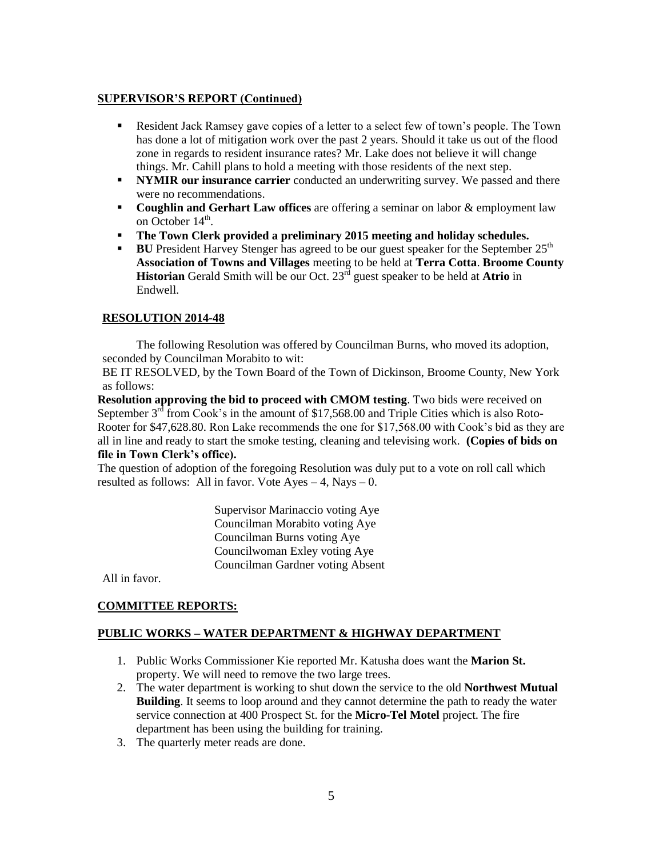# **SUPERVISOR'S REPORT (Continued)**

- Resident Jack Ramsey gave copies of a letter to a select few of town's people. The Town has done a lot of mitigation work over the past 2 years. Should it take us out of the flood zone in regards to resident insurance rates? Mr. Lake does not believe it will change things. Mr. Cahill plans to hold a meeting with those residents of the next step.
- **NYMIR our insurance carrier** conducted an underwriting survey. We passed and there were no recommendations.
- **Coughlin and Gerhart Law offices** are offering a seminar on labor & employment law on October  $14^{\text{th}}$ .
- **The Town Clerk provided a preliminary 2015 meeting and holiday schedules.**
- **BU** President Harvey Stenger has agreed to be our guest speaker for the September 25<sup>th</sup> **Association of Towns and Villages** meeting to be held at **Terra Cotta**. **Broome County Historian** Gerald Smith will be our Oct. 23<sup>rd</sup> guest speaker to be held at **Atrio** in Endwell.

# **RESOLUTION 2014-48**

The following Resolution was offered by Councilman Burns, who moved its adoption, seconded by Councilman Morabito to wit:

BE IT RESOLVED, by the Town Board of the Town of Dickinson, Broome County, New York as follows:

**Resolution approving the bid to proceed with CMOM testing**. Two bids were received on September  $3<sup>rd</sup>$  from Cook's in the amount of \$17,568.00 and Triple Cities which is also Roto-Rooter for \$47,628.80. Ron Lake recommends the one for \$17,568.00 with Cook's bid as they are all in line and ready to start the smoke testing, cleaning and televising work. **(Copies of bids on file in Town Clerk's office).**

The question of adoption of the foregoing Resolution was duly put to a vote on roll call which resulted as follows: All in favor. Vote  $Ayes - 4$ , Nays – 0.

> Supervisor Marinaccio voting Aye Councilman Morabito voting Aye Councilman Burns voting Aye Councilwoman Exley voting Aye Councilman Gardner voting Absent

All in favor.

## **COMMITTEE REPORTS:**

## **PUBLIC WORKS – WATER DEPARTMENT & HIGHWAY DEPARTMENT**

- 1. Public Works Commissioner Kie reported Mr. Katusha does want the **Marion St.** property. We will need to remove the two large trees.
- 2. The water department is working to shut down the service to the old **Northwest Mutual Building**. It seems to loop around and they cannot determine the path to ready the water service connection at 400 Prospect St. for the **Micro-Tel Motel** project. The fire department has been using the building for training.
- 3. The quarterly meter reads are done.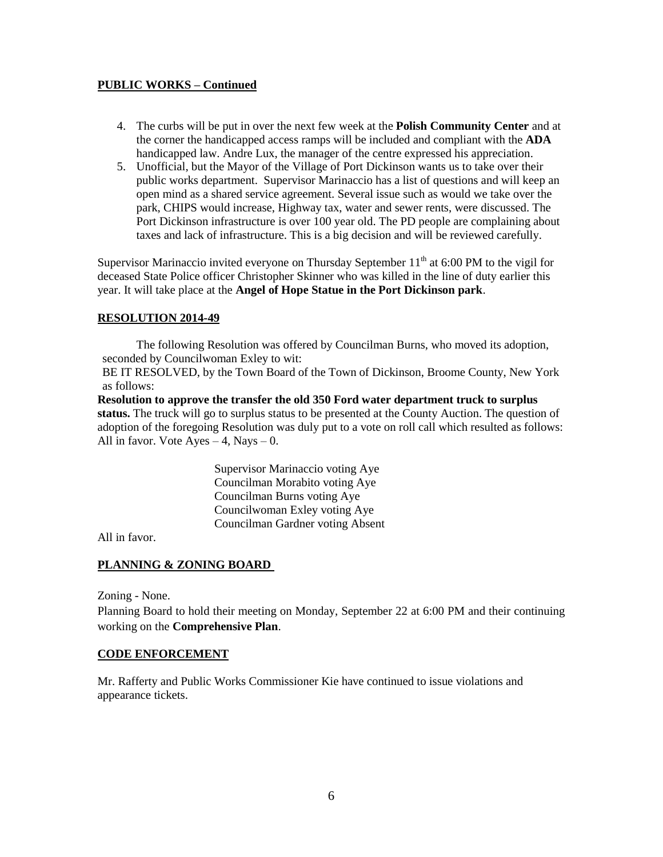## **PUBLIC WORKS – Continued**

- 4. The curbs will be put in over the next few week at the **Polish Community Center** and at the corner the handicapped access ramps will be included and compliant with the **ADA** handicapped law. Andre Lux, the manager of the centre expressed his appreciation.
- 5. Unofficial, but the Mayor of the Village of Port Dickinson wants us to take over their public works department. Supervisor Marinaccio has a list of questions and will keep an open mind as a shared service agreement. Several issue such as would we take over the park, CHIPS would increase, Highway tax, water and sewer rents, were discussed. The Port Dickinson infrastructure is over 100 year old. The PD people are complaining about taxes and lack of infrastructure. This is a big decision and will be reviewed carefully.

Supervisor Marinaccio invited everyone on Thursday September  $11<sup>th</sup>$  at 6:00 PM to the vigil for deceased State Police officer Christopher Skinner who was killed in the line of duty earlier this year. It will take place at the **Angel of Hope Statue in the Port Dickinson park**.

# **RESOLUTION 2014-49**

The following Resolution was offered by Councilman Burns, who moved its adoption, seconded by Councilwoman Exley to wit:

BE IT RESOLVED, by the Town Board of the Town of Dickinson, Broome County, New York as follows:

**Resolution to approve the transfer the old 350 Ford water department truck to surplus status.** The truck will go to surplus status to be presented at the County Auction. The question of adoption of the foregoing Resolution was duly put to a vote on roll call which resulted as follows: All in favor. Vote  $Ayes - 4$ , Nays  $- 0$ .

> Supervisor Marinaccio voting Aye Councilman Morabito voting Aye Councilman Burns voting Aye Councilwoman Exley voting Aye Councilman Gardner voting Absent

All in favor.

## **PLANNING & ZONING BOARD**

Zoning - None.

Planning Board to hold their meeting on Monday, September 22 at 6:00 PM and their continuing working on the **Comprehensive Plan**.

## **CODE ENFORCEMENT**

Mr. Rafferty and Public Works Commissioner Kie have continued to issue violations and appearance tickets.